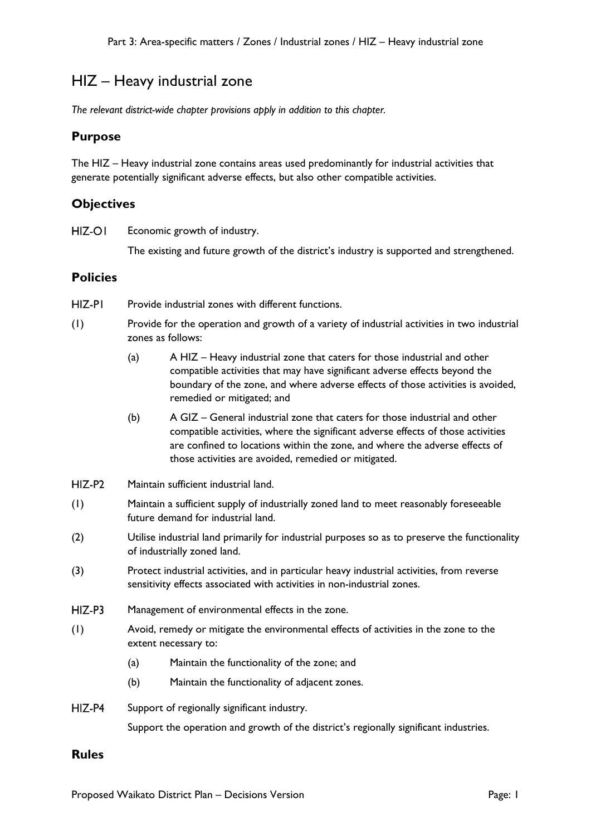# HIZ – Heavy industrial zone

*The relevant district-wide chapter provisions apply in addition to this chapter.*

## **Purpose**

The HIZ – Heavy industrial zone contains areas used predominantly for industrial activities that generate potentially significant adverse effects, but also other compatible activities.

## **Objectives**

HIZ-OI Economic growth of industry.

The existing and future growth of the district's industry is supported and strengthened.

# **Policies**

- HIZ-PI Provide industrial zones with different functions.
- (1) Provide for the operation and growth of a variety of industrial activities in two industrial zones as follows:
	- (a) A HIZ Heavy industrial zone that caters for those industrial and other compatible activities that may have significant adverse effects beyond the boundary of the zone, and where adverse effects of those activities is avoided, remedied or mitigated; and
	- (b) A GIZ General industrial zone that caters for those industrial and other compatible activities, where the significant adverse effects of those activities are confined to locations within the zone, and where the adverse effects of those activities are avoided, remedied or mitigated.
- $HIZ-P2$ Maintain sufficient industrial land.
- (1) Maintain a sufficient supply of industrially zoned land to meet reasonably foreseeable future demand for industrial land.
- (2) Utilise industrial land primarily for industrial purposes so as to preserve the functionality of industrially zoned land.
- (3) Protect industrial activities, and in particular heavy industrial activities, from reverse sensitivity effects associated with activities in non-industrial zones.
- $HIZ-P3$ Management of environmental effects in the zone.
- (1) Avoid, remedy or mitigate the environmental effects of activities in the zone to the extent necessary to:
	- (a) Maintain the functionality of the zone; and
	- (b) Maintain the functionality of adjacent zones.
- $HIZ-P4$ Support of regionally significant industry.

Support the operation and growth of the district's regionally significant industries.

### **Rules**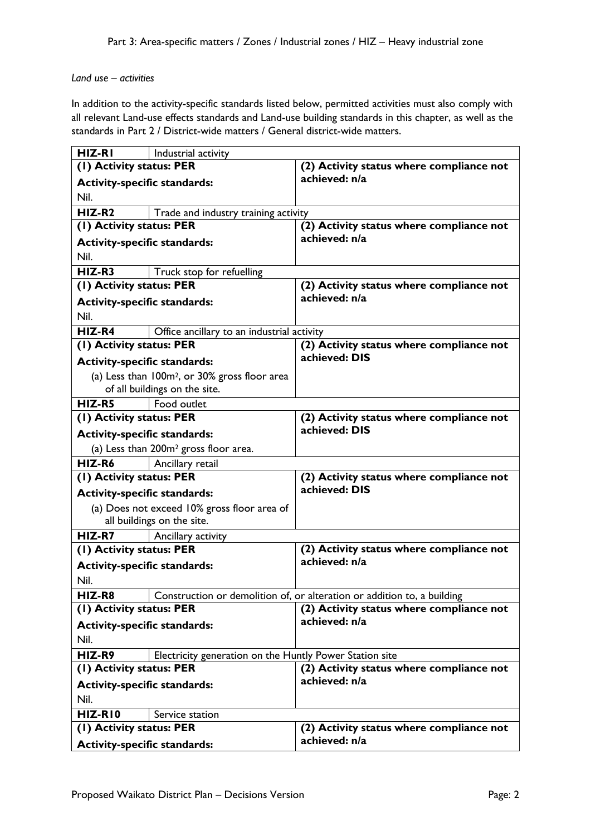### *Land use – activities*

In addition to the activity-specific standards listed below, permitted activities must also comply with all relevant Land-use effects standards and Land-use building standards in this chapter, as well as the standards in Part 2 / District-wide matters / General district-wide matters.

| HIZ-RI                              | Industrial activity                                       |                                                                         |
|-------------------------------------|-----------------------------------------------------------|-------------------------------------------------------------------------|
| (1) Activity status: PER            |                                                           | (2) Activity status where compliance not                                |
| <b>Activity-specific standards:</b> |                                                           | achieved: n/a                                                           |
| Nil.                                |                                                           |                                                                         |
| $HIZ-R2$                            | Trade and industry training activity                      |                                                                         |
| (1) Activity status: PER            |                                                           | (2) Activity status where compliance not                                |
| <b>Activity-specific standards:</b> |                                                           | achieved: n/a                                                           |
| Nil.                                |                                                           |                                                                         |
| $HIZ-R3$                            | Truck stop for refuelling                                 |                                                                         |
| (1) Activity status: PER            |                                                           | (2) Activity status where compliance not                                |
| <b>Activity-specific standards:</b> |                                                           | achieved: n/a                                                           |
| Nil.                                |                                                           |                                                                         |
| HIZ-R4                              | Office ancillary to an industrial activity                |                                                                         |
| (1) Activity status: PER            |                                                           | (2) Activity status where compliance not                                |
| <b>Activity-specific standards:</b> |                                                           | achieved: DIS                                                           |
|                                     | (a) Less than 100m <sup>2</sup> , or 30% gross floor area |                                                                         |
|                                     | of all buildings on the site.                             |                                                                         |
| HIZ-R5                              | Food outlet                                               |                                                                         |
| (1) Activity status: PER            |                                                           | (2) Activity status where compliance not                                |
| <b>Activity-specific standards:</b> |                                                           | achieved: DIS                                                           |
|                                     | (a) Less than 200m <sup>2</sup> gross floor area.         |                                                                         |
| HIZ-R6                              | Ancillary retail                                          |                                                                         |
| (1) Activity status: PER            |                                                           | (2) Activity status where compliance not                                |
| <b>Activity-specific standards:</b> |                                                           | achieved: DIS                                                           |
|                                     | (a) Does not exceed 10% gross floor area of               |                                                                         |
|                                     | all buildings on the site.                                |                                                                         |
| HIZ-R7                              | Ancillary activity                                        |                                                                         |
| (1) Activity status: PER            |                                                           | (2) Activity status where compliance not                                |
| <b>Activity-specific standards:</b> |                                                           | achieved: n/a                                                           |
| Nil.                                |                                                           |                                                                         |
| HIZ-R8                              |                                                           | Construction or demolition of, or alteration or addition to, a building |
| (1) Activity status: PER            |                                                           | (2) Activity status where compliance not                                |
| <b>Activity-specific standards:</b> |                                                           | achieved: n/a                                                           |
| Nil.                                |                                                           |                                                                         |
| HIZ-R9                              | Electricity generation on the Huntly Power Station site   |                                                                         |
| (1) Activity status: PER            |                                                           | (2) Activity status where compliance not                                |
| <b>Activity-specific standards:</b> |                                                           | achieved: n/a                                                           |
| Nil.                                |                                                           |                                                                         |
| HIZ-RIO                             | Service station                                           |                                                                         |
| (1) Activity status: PER            |                                                           | (2) Activity status where compliance not<br>achieved: n/a               |
| <b>Activity-specific standards:</b> |                                                           |                                                                         |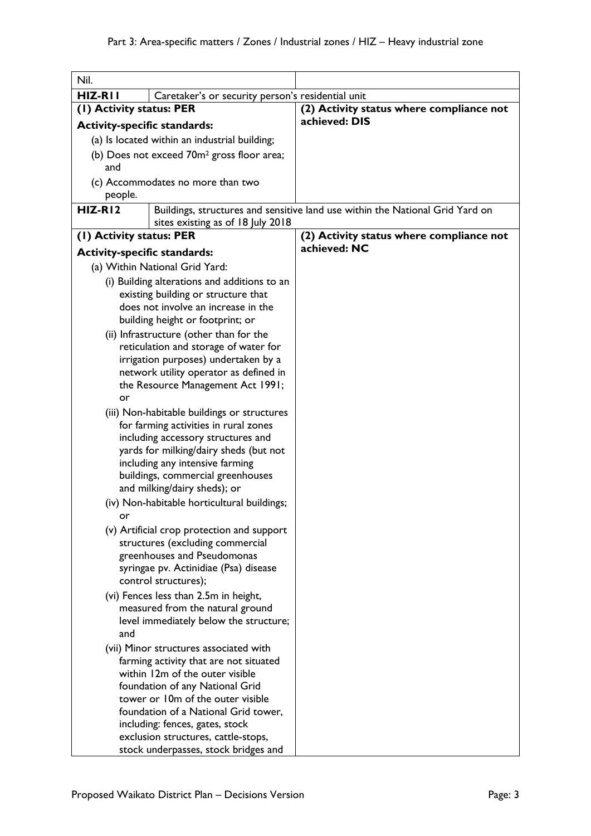| Nil.                                                          |                                                                             |                                                                               |
|---------------------------------------------------------------|-----------------------------------------------------------------------------|-------------------------------------------------------------------------------|
| HIZ-RII                                                       | Caretaker's or security person's residential unit                           |                                                                               |
| (1) Activity status: PER                                      |                                                                             | (2) Activity status where compliance not                                      |
| <b>Activity-specific standards:</b>                           |                                                                             | achieved: DIS                                                                 |
|                                                               | (a) Is located within an industrial building;                               |                                                                               |
| (b) Does not exceed 70m <sup>2</sup> gross floor area;<br>and |                                                                             |                                                                               |
| people.                                                       | (c) Accommodates no more than two                                           |                                                                               |
| HIZ-RI2                                                       | sites existing as of 18 July 2018                                           | Buildings, structures and sensitive land use within the National Grid Yard on |
| (1) Activity status: PER                                      |                                                                             | (2) Activity status where compliance not                                      |
| <b>Activity-specific standards:</b>                           |                                                                             | achieved: NC                                                                  |
|                                                               | (a) Within National Grid Yard:                                              |                                                                               |
|                                                               | (i) Building alterations and additions to an                                |                                                                               |
|                                                               | existing building or structure that                                         |                                                                               |
|                                                               | does not involve an increase in the                                         |                                                                               |
|                                                               | building height or footprint; or                                            |                                                                               |
|                                                               | (ii) Infrastructure (other than for the                                     |                                                                               |
|                                                               | reticulation and storage of water for                                       |                                                                               |
|                                                               | irrigation purposes) undertaken by a                                        |                                                                               |
|                                                               | network utility operator as defined in                                      |                                                                               |
|                                                               | the Resource Management Act 1991;                                           |                                                                               |
| or                                                            |                                                                             |                                                                               |
|                                                               | (iii) Non-habitable buildings or structures                                 |                                                                               |
|                                                               | for farming activities in rural zones<br>including accessory structures and |                                                                               |
|                                                               | yards for milking/dairy sheds (but not                                      |                                                                               |
|                                                               | including any intensive farming                                             |                                                                               |
|                                                               | buildings, commercial greenhouses                                           |                                                                               |
|                                                               | and milking/dairy sheds); or                                                |                                                                               |
|                                                               | (iv) Non-habitable horticultural buildings;                                 |                                                                               |
| or                                                            |                                                                             |                                                                               |
|                                                               | (v) Artificial crop protection and support                                  |                                                                               |
|                                                               | structures (excluding commercial                                            |                                                                               |
|                                                               | greenhouses and Pseudomonas                                                 |                                                                               |
|                                                               | syringae pv. Actinidiae (Psa) disease                                       |                                                                               |
|                                                               | control structures);                                                        |                                                                               |
|                                                               | (vi) Fences less than 2.5m in height,<br>measured from the natural ground   |                                                                               |
|                                                               | level immediately below the structure;                                      |                                                                               |
| and                                                           |                                                                             |                                                                               |
|                                                               | (vii) Minor structures associated with                                      |                                                                               |
|                                                               | farming activity that are not situated                                      |                                                                               |
|                                                               | within 12m of the outer visible                                             |                                                                               |
|                                                               | foundation of any National Grid                                             |                                                                               |
|                                                               | tower or 10m of the outer visible                                           |                                                                               |
|                                                               | foundation of a National Grid tower,                                        |                                                                               |
|                                                               | including: fences, gates, stock                                             |                                                                               |
|                                                               | exclusion structures, cattle-stops,<br>stock underpasses, stock bridges and |                                                                               |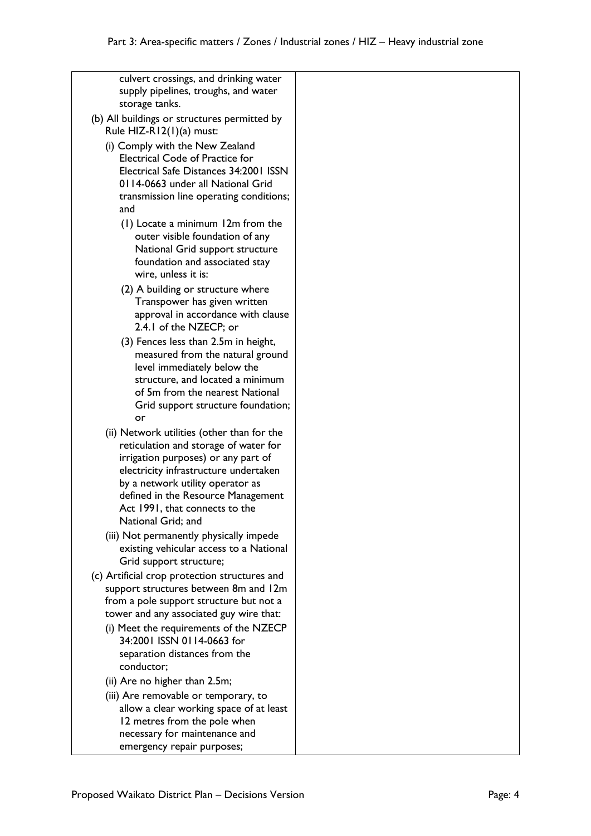culvert crossings, and drinking water supply pipelines, troughs, and water storage tanks. (b) All buildings or structures permitted by Rule HIZ-R12(1)(a) must: (i) Comply with the New Zealand Electrical Code of Practice for Electrical Safe Distances 34:2001 ISSN 0114-0663 under all National Grid transmission line operating conditions; and (1) Locate a minimum 12m from the outer visible foundation of any National Grid support structure foundation and associated stay wire, unless it is: (2) A building or structure where Transpower has given written approval in accordance with clause 2.4.1 of the NZECP; or (3) Fences less than 2.5m in height, measured from the natural ground level immediately below the structure, and located a minimum of 5m from the nearest National Grid support structure foundation; or (ii) Network utilities (other than for the reticulation and storage of water for irrigation purposes) or any part of electricity infrastructure undertaken by a network utility operator as defined in the Resource Management Act 1991, that connects to the National Grid; and (iii) Not permanently physically impede existing vehicular access to a National Grid support structure; (c) Artificial crop protection structures and support structures between 8m and 12m from a pole support structure but not a tower and any associated guy wire that: (i) Meet the requirements of the NZECP 34:2001 ISSN 0114-0663 for separation distances from the conductor; (ii) Are no higher than 2.5m; (iii) Are removable or temporary, to allow a clear working space of at least 12 metres from the pole when necessary for maintenance and

emergency repair purposes;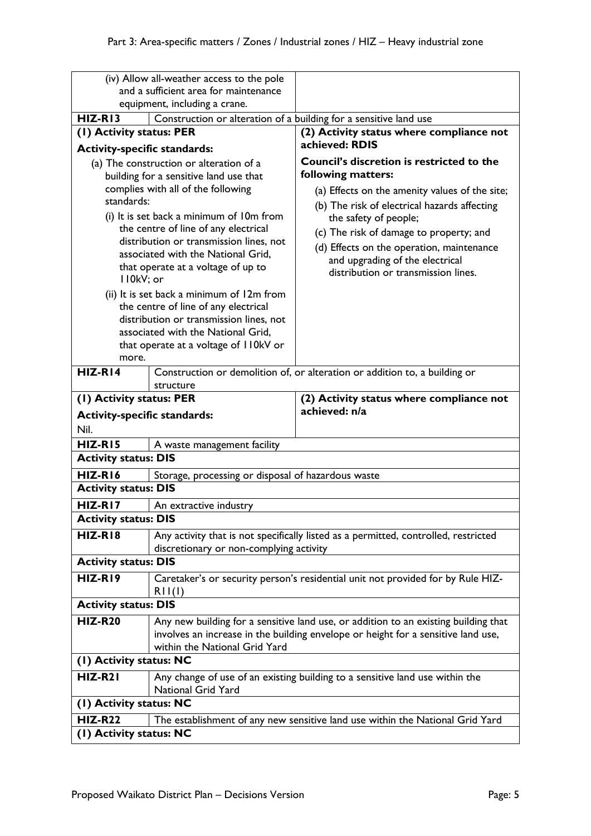|                                                                                   | (iv) Allow all-weather access to the pole                                         |                                                                                     |
|-----------------------------------------------------------------------------------|-----------------------------------------------------------------------------------|-------------------------------------------------------------------------------------|
| and a sufficient area for maintenance                                             |                                                                                   |                                                                                     |
| equipment, including a crane.                                                     |                                                                                   |                                                                                     |
| $HIZ-R13$                                                                         | Construction or alteration of a building for a sensitive land use                 |                                                                                     |
| (1) Activity status: PER<br><b>Activity-specific standards:</b>                   |                                                                                   | (2) Activity status where compliance not<br>achieved: RDIS                          |
|                                                                                   |                                                                                   | <b>Council's discretion is restricted to the</b>                                    |
| (a) The construction or alteration of a<br>building for a sensitive land use that |                                                                                   | following matters:                                                                  |
| complies with all of the following                                                |                                                                                   | (a) Effects on the amenity values of the site;                                      |
| standards:                                                                        |                                                                                   | (b) The risk of electrical hazards affecting                                        |
| (i) It is set back a minimum of 10m from                                          |                                                                                   | the safety of people;                                                               |
| the centre of line of any electrical                                              |                                                                                   | (c) The risk of damage to property; and                                             |
|                                                                                   | distribution or transmission lines, not                                           | (d) Effects on the operation, maintenance                                           |
|                                                                                   | associated with the National Grid,                                                | and upgrading of the electrical                                                     |
|                                                                                   | that operate at a voltage of up to                                                | distribution or transmission lines.                                                 |
| II0kV; or                                                                         |                                                                                   |                                                                                     |
|                                                                                   | (ii) It is set back a minimum of 12m from<br>the centre of line of any electrical |                                                                                     |
|                                                                                   | distribution or transmission lines, not                                           |                                                                                     |
|                                                                                   | associated with the National Grid,                                                |                                                                                     |
|                                                                                   | that operate at a voltage of I IOkV or                                            |                                                                                     |
| more.                                                                             |                                                                                   |                                                                                     |
| $HIZ-RI4$                                                                         |                                                                                   | Construction or demolition of, or alteration or addition to, a building or          |
|                                                                                   | structure                                                                         |                                                                                     |
| (1) Activity status: PER                                                          |                                                                                   | (2) Activity status where compliance not                                            |
|                                                                                   |                                                                                   |                                                                                     |
| <b>Activity-specific standards:</b>                                               |                                                                                   | achieved: n/a                                                                       |
| Nil.                                                                              |                                                                                   |                                                                                     |
| $HIZ-RI5$                                                                         | A waste management facility                                                       |                                                                                     |
| <b>Activity status: DIS</b>                                                       |                                                                                   |                                                                                     |
| HIZ-RI6                                                                           | Storage, processing or disposal of hazardous waste                                |                                                                                     |
| <b>Activity status: DIS</b>                                                       |                                                                                   |                                                                                     |
| HIZ-RI7                                                                           | An extractive industry                                                            |                                                                                     |
| <b>Activity status: DIS</b>                                                       |                                                                                   |                                                                                     |
| $HIZ-R18$                                                                         |                                                                                   | Any activity that is not specifically listed as a permitted, controlled, restricted |
|                                                                                   | discretionary or non-complying activity                                           |                                                                                     |
| <b>Activity status: DIS</b>                                                       |                                                                                   |                                                                                     |
| HIZ-RI9                                                                           |                                                                                   | Caretaker's or security person's residential unit not provided for by Rule HIZ-     |
|                                                                                   | RII(I)                                                                            |                                                                                     |
| <b>Activity status: DIS</b>                                                       |                                                                                   |                                                                                     |
| <b>HIZ-R20</b>                                                                    |                                                                                   | Any new building for a sensitive land use, or addition to an existing building that |
|                                                                                   |                                                                                   | involves an increase in the building envelope or height for a sensitive land use,   |
|                                                                                   | within the National Grid Yard                                                     |                                                                                     |
| (1) Activity status: NC                                                           |                                                                                   |                                                                                     |
| HIZ-R21                                                                           |                                                                                   | Any change of use of an existing building to a sensitive land use within the        |
|                                                                                   | <b>National Grid Yard</b>                                                         |                                                                                     |
| (I) Activity status: NC                                                           |                                                                                   |                                                                                     |
| <b>HIZ-R22</b><br>(I) Activity status: NC                                         |                                                                                   | The establishment of any new sensitive land use within the National Grid Yard       |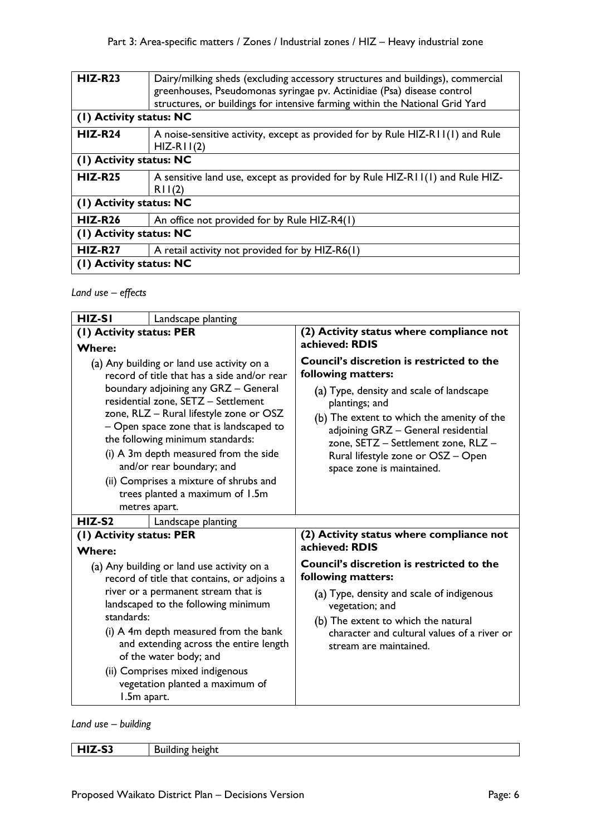| <b>HIZ-R23</b><br>(1) Activity status: NC | Dairy/milking sheds (excluding accessory structures and buildings), commercial<br>greenhouses, Pseudomonas syringae pv. Actinidiae (Psa) disease control<br>structures, or buildings for intensive farming within the National Grid Yard |
|-------------------------------------------|------------------------------------------------------------------------------------------------------------------------------------------------------------------------------------------------------------------------------------------|
|                                           |                                                                                                                                                                                                                                          |
| $HIZ-R24$                                 | A noise-sensitive activity, except as provided for by Rule HIZ-RII(I) and Rule<br>$HIZ-RII(2)$                                                                                                                                           |
| (1) Activity status: NC                   |                                                                                                                                                                                                                                          |
| <b>HIZ-R25</b>                            | A sensitive land use, except as provided for by Rule HIZ-RII(I) and Rule HIZ-<br>RII(2)                                                                                                                                                  |
| (1) Activity status: NC                   |                                                                                                                                                                                                                                          |
| $HIZ-R26$                                 | An office not provided for by Rule HIZ-R4(1)                                                                                                                                                                                             |
| (1) Activity status: NC                   |                                                                                                                                                                                                                                          |
| $HIZ-R27$                                 | A retail activity not provided for by HIZ-R6(1)                                                                                                                                                                                          |
| (1) Activity status: NC                   |                                                                                                                                                                                                                                          |

*Land use – effects*

| HIZ-SI<br>Landscape planting                                                                                                                                                                                                                                                                                                                                                                                                                                           |                                                                                                                                                                                                                                                                                                                                     |
|------------------------------------------------------------------------------------------------------------------------------------------------------------------------------------------------------------------------------------------------------------------------------------------------------------------------------------------------------------------------------------------------------------------------------------------------------------------------|-------------------------------------------------------------------------------------------------------------------------------------------------------------------------------------------------------------------------------------------------------------------------------------------------------------------------------------|
| (1) Activity status: PER                                                                                                                                                                                                                                                                                                                                                                                                                                               | (2) Activity status where compliance not                                                                                                                                                                                                                                                                                            |
| <b>Where:</b>                                                                                                                                                                                                                                                                                                                                                                                                                                                          | achieved: RDIS                                                                                                                                                                                                                                                                                                                      |
| (a) Any building or land use activity on a<br>record of title that has a side and/or rear<br>boundary adjoining any GRZ - General<br>residential zone, SETZ - Settlement<br>zone, RLZ - Rural lifestyle zone or OSZ<br>- Open space zone that is landscaped to<br>the following minimum standards:<br>(i) A 3m depth measured from the side<br>and/or rear boundary; and<br>(ii) Comprises a mixture of shrubs and<br>trees planted a maximum of 1.5m<br>metres apart. | <b>Council's discretion is restricted to the</b><br>following matters:<br>(a) Type, density and scale of landscape<br>plantings; and<br>(b) The extent to which the amenity of the<br>adjoining GRZ - General residential<br>zone, SETZ - Settlement zone, RLZ -<br>Rural lifestyle zone or OSZ - Open<br>space zone is maintained. |
| $HIZ-S2$<br>Landscape planting                                                                                                                                                                                                                                                                                                                                                                                                                                         |                                                                                                                                                                                                                                                                                                                                     |
| (1) Activity status: PER                                                                                                                                                                                                                                                                                                                                                                                                                                               | (2) Activity status where compliance not                                                                                                                                                                                                                                                                                            |
| <b>Where:</b>                                                                                                                                                                                                                                                                                                                                                                                                                                                          | achieved: RDIS                                                                                                                                                                                                                                                                                                                      |
| (a) Any building or land use activity on a<br>record of title that contains, or adjoins a<br>river or a permanent stream that is<br>landscaped to the following minimum<br>standards:<br>(i) A 4m depth measured from the bank<br>and extending across the entire length<br>of the water body; and<br>(ii) Comprises mixed indigenous<br>vegetation planted a maximum of<br>1.5m apart.                                                                                | Council's discretion is restricted to the<br>following matters:<br>(a) Type, density and scale of indigenous<br>vegetation; and<br>(b) The extent to which the natural<br>character and cultural values of a river or<br>stream are maintained.                                                                                     |

*Land use – building*

| $\sim$<br>- -<br>- 33<br>. | neigh*<br>aung r<br>_ |
|----------------------------|-----------------------|
|                            |                       |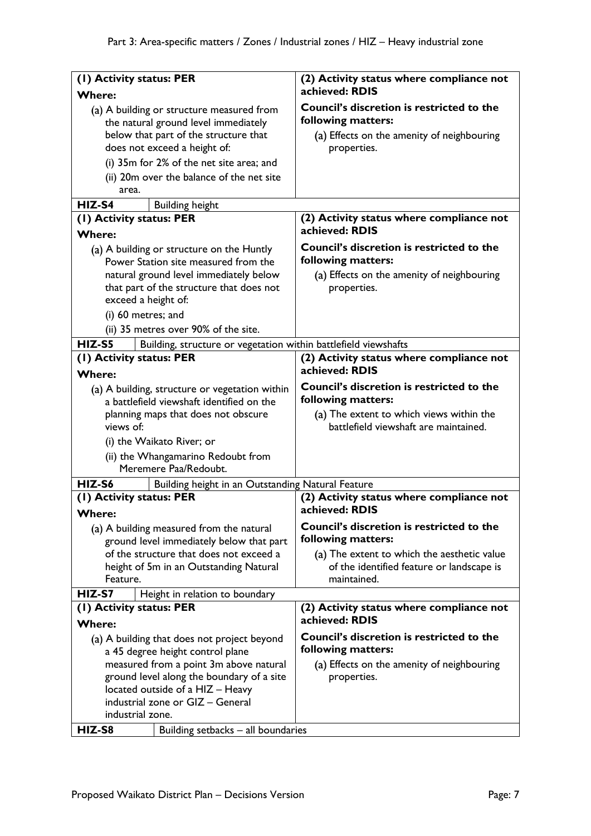| (1) Activity status: PER                                                                                                                                                                                                                                           | (2) Activity status where compliance not                                                                                     |
|--------------------------------------------------------------------------------------------------------------------------------------------------------------------------------------------------------------------------------------------------------------------|------------------------------------------------------------------------------------------------------------------------------|
| <b>Where:</b>                                                                                                                                                                                                                                                      | achieved: RDIS                                                                                                               |
| (a) A building or structure measured from<br>the natural ground level immediately                                                                                                                                                                                  | <b>Council's discretion is restricted to the</b><br>following matters:                                                       |
| below that part of the structure that                                                                                                                                                                                                                              | (a) Effects on the amenity of neighbouring                                                                                   |
| does not exceed a height of:                                                                                                                                                                                                                                       | properties.                                                                                                                  |
| (i) 35m for 2% of the net site area; and                                                                                                                                                                                                                           |                                                                                                                              |
| (ii) 20m over the balance of the net site                                                                                                                                                                                                                          |                                                                                                                              |
| area.                                                                                                                                                                                                                                                              |                                                                                                                              |
| HIZ-S4<br><b>Building height</b>                                                                                                                                                                                                                                   |                                                                                                                              |
| (I) Activity status: PER                                                                                                                                                                                                                                           | (2) Activity status where compliance not                                                                                     |
| <b>Where:</b>                                                                                                                                                                                                                                                      | achieved: RDIS                                                                                                               |
| (a) A building or structure on the Huntly<br>Power Station site measured from the                                                                                                                                                                                  | Council's discretion is restricted to the<br>following matters:                                                              |
| natural ground level immediately below<br>that part of the structure that does not<br>exceed a height of:                                                                                                                                                          | (a) Effects on the amenity of neighbouring<br>properties.                                                                    |
| (i) 60 metres; and                                                                                                                                                                                                                                                 |                                                                                                                              |
| (ii) 35 metres over 90% of the site.                                                                                                                                                                                                                               |                                                                                                                              |
| HIZ-S5                                                                                                                                                                                                                                                             |                                                                                                                              |
| Building, structure or vegetation within battlefield viewshafts<br>(1) Activity status: PER                                                                                                                                                                        | (2) Activity status where compliance not                                                                                     |
| <b>Where:</b>                                                                                                                                                                                                                                                      | achieved: RDIS                                                                                                               |
|                                                                                                                                                                                                                                                                    | <b>Council's discretion is restricted to the</b>                                                                             |
| (a) A building, structure or vegetation within<br>a battlefield viewshaft identified on the                                                                                                                                                                        | following matters:                                                                                                           |
| planning maps that does not obscure<br>views of:                                                                                                                                                                                                                   | (a) The extent to which views within the<br>battlefield viewshaft are maintained.                                            |
| (i) the Waikato River; or                                                                                                                                                                                                                                          |                                                                                                                              |
| (ii) the Whangamarino Redoubt from                                                                                                                                                                                                                                 |                                                                                                                              |
| Meremere Paa/Redoubt.                                                                                                                                                                                                                                              |                                                                                                                              |
| HIZ-S6<br>Building height in an Outstanding Natural Feature                                                                                                                                                                                                        |                                                                                                                              |
| (1) Activity status: PER<br>Where:                                                                                                                                                                                                                                 | (2) Activity status where compliance not<br>achieved: RDIS                                                                   |
| (a) A building measured from the natural<br>ground level immediately below that part                                                                                                                                                                               | <b>Council's discretion is restricted to the</b><br>following matters:                                                       |
| of the structure that does not exceed a<br>height of 5m in an Outstanding Natural                                                                                                                                                                                  | (a) The extent to which the aesthetic value<br>of the identified feature or landscape is                                     |
| Feature.                                                                                                                                                                                                                                                           | maintained.                                                                                                                  |
| HIZ-S7<br>Height in relation to boundary                                                                                                                                                                                                                           |                                                                                                                              |
| (I) Activity status: PER<br><b>Where:</b>                                                                                                                                                                                                                          | (2) Activity status where compliance not<br>achieved: RDIS                                                                   |
| (a) A building that does not project beyond<br>a 45 degree height control plane<br>measured from a point 3m above natural<br>ground level along the boundary of a site<br>located outside of a HIZ - Heavy<br>industrial zone or GIZ - General<br>industrial zone. | Council's discretion is restricted to the<br>following matters:<br>(a) Effects on the amenity of neighbouring<br>properties. |
| HIZ-S8<br>Building setbacks - all boundaries                                                                                                                                                                                                                       |                                                                                                                              |